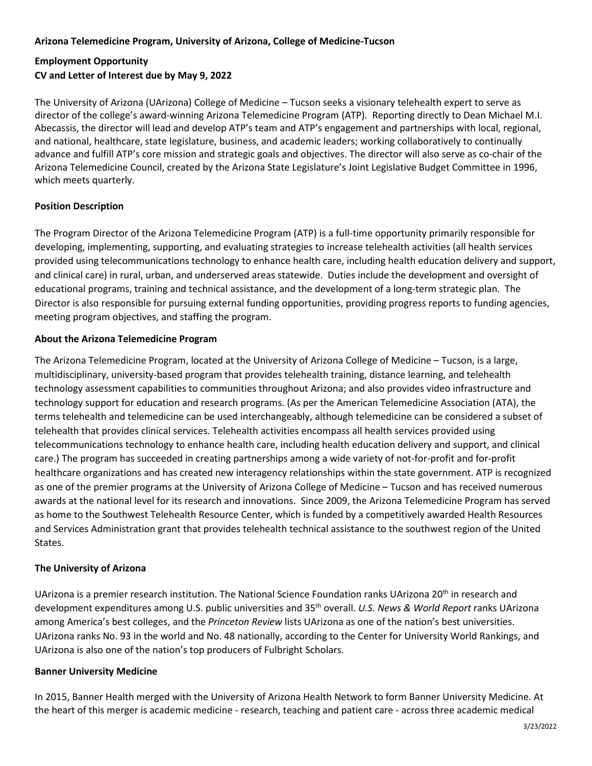# **Arizona Telemedicine Program, University of Arizona, College of Medicine-Tucson**

# **Employment Opportunity CV and Letter of Interest due by May 9, 2022**

The University of Arizona (UArizona) College of Medicine – Tucson seeks a visionary telehealth expert to serve as director of the college's award-winning Arizona Telemedicine Program (ATP). Reporting directly to Dean Michael M.I. Abecassis, the director will lead and develop ATP's team and ATP's engagement and partnerships with local, regional, and national, healthcare, state legislature, business, and academic leaders; working collaboratively to continually advance and fulfill ATP's core mission and strategic goals and objectives. The director will also serve as co-chair of the Arizona Telemedicine Council, created by the Arizona State Legislature's Joint Legislative Budget Committee in 1996, which meets quarterly.

# **Position Description**

The Program Director of the Arizona Telemedicine Program (ATP) is a full-time opportunity primarily responsible for developing, implementing, supporting, and evaluating strategies to increase telehealth activities (all health services provided using telecommunications technology to enhance health care, including health education delivery and support, and clinical care) in rural, urban, and underserved areas statewide. Duties include the development and oversight of educational programs, training and technical assistance, and the development of a long-term strategic plan. The Director is also responsible for pursuing external funding opportunities, providing progress reports to funding agencies, meeting program objectives, and staffing the program.

# **About the Arizona Telemedicine Program**

The Arizona Telemedicine Program, located at the University of Arizona College of Medicine – Tucson, is a large, multidisciplinary, university-based program that provides telehealth training, distance learning, and telehealth technology assessment capabilities to communities throughout Arizona; and also provides video infrastructure and technology support for education and research programs. (As per the American Telemedicine Association (ATA), the terms telehealth and telemedicine can be used interchangeably, although telemedicine can be considered a subset of telehealth that provides clinical services. Telehealth activities encompass all health services provided using telecommunications technology to enhance health care, including health education delivery and support, and clinical care.) The program has succeeded in creating partnerships among a wide variety of not-for-profit and for-profit healthcare organizations and has created new interagency relationships within the state government. ATP is recognized as one of the premier programs at the University of Arizona College of Medicine – Tucson and has received numerous awards at the national level for its research and innovations. Since 2009, the Arizona Telemedicine Program has served as home to the Southwest Telehealth Resource Center, which is funded by a competitively awarded Health Resources and Services Administration grant that provides telehealth technical assistance to the southwest region of the United States.

# **The University of Arizona**

UArizona is a premier research institution. The National Science Foundation ranks UArizona 20<sup>th</sup> in research and development expenditures among U.S. public universities and 35th overall. *U.S. News & World Report* ranks UArizona among America's best colleges, and the *Princeton Review* lists UArizona as one of the nation's best universities. UArizona ranks No. 93 in the world and No. 48 nationally, according to the Center for University World Rankings, and UArizona is also one of the nation's top producers of Fulbright Scholars.

### **Banner University Medicine**

In 2015, Banner Health merged with the University of Arizona Health Network to form Banner University Medicine. At the heart of this merger is academic medicine - research, teaching and patient care - across three academic medical